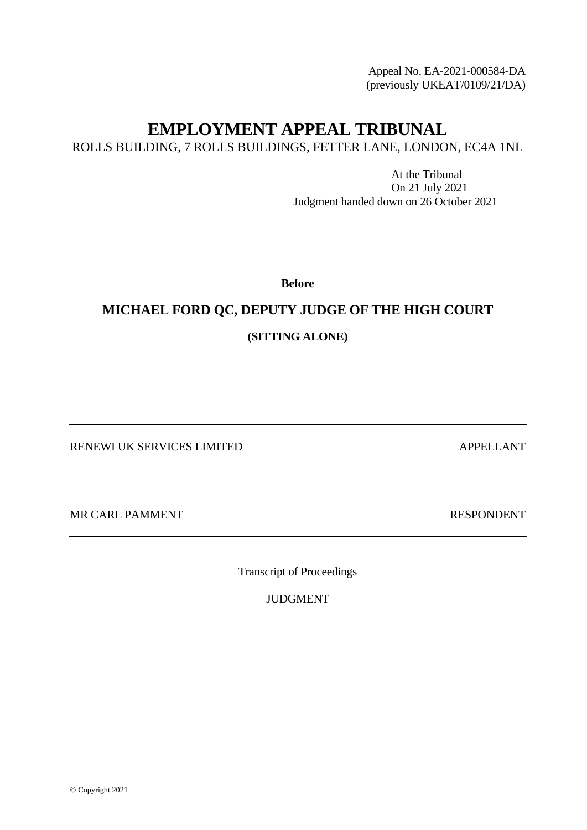Appeal No. EA-2021-000584-DA (previously UKEAT/0109/21/DA)

# **EMPLOYMENT APPEAL TRIBUNAL**

ROLLS BUILDING, 7 ROLLS BUILDINGS, FETTER LANE, LONDON, EC4A 1NL

At the Tribunal On 21 July 2021 Judgment handed down on 26 October 2021

**Before**

# **MICHAEL FORD QC, DEPUTY JUDGE OF THE HIGH COURT**

**(SITTING ALONE)**

RENEWI UK SERVICES LIMITED APPELLANT

MR CARL PAMMENT SERVICES IN THE RESPONDENT

Transcript of Proceedings

JUDGMENT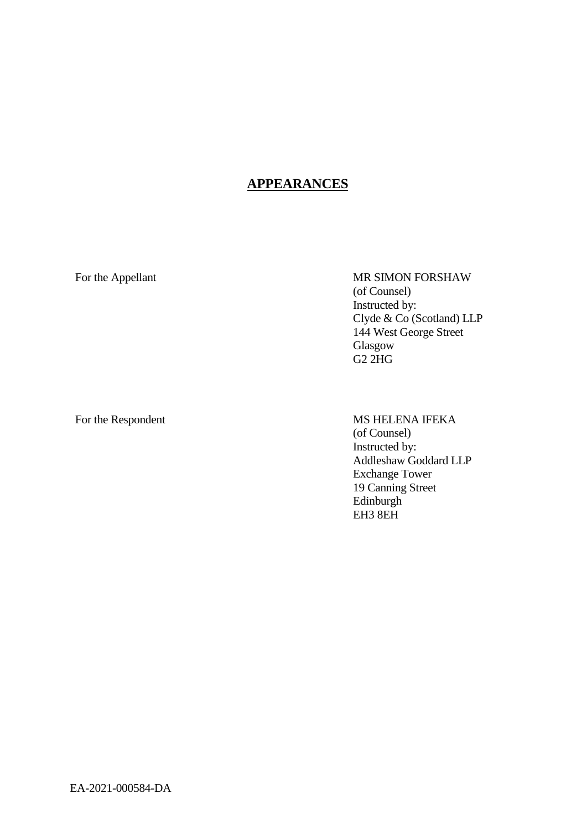### **APPEARANCES**

For the Appellant MR SIMON FORSHAW (of Counsel) Instructed by: Clyde & Co (Scotland) LLP 144 West George Street Glasgow G2 2HG

## For the Respondent MS HELENA IFEKA (of Counsel)

Instructed by: Addleshaw Goddard LLP Exchange Tower 19 Canning Street Edinburgh EH3 8EH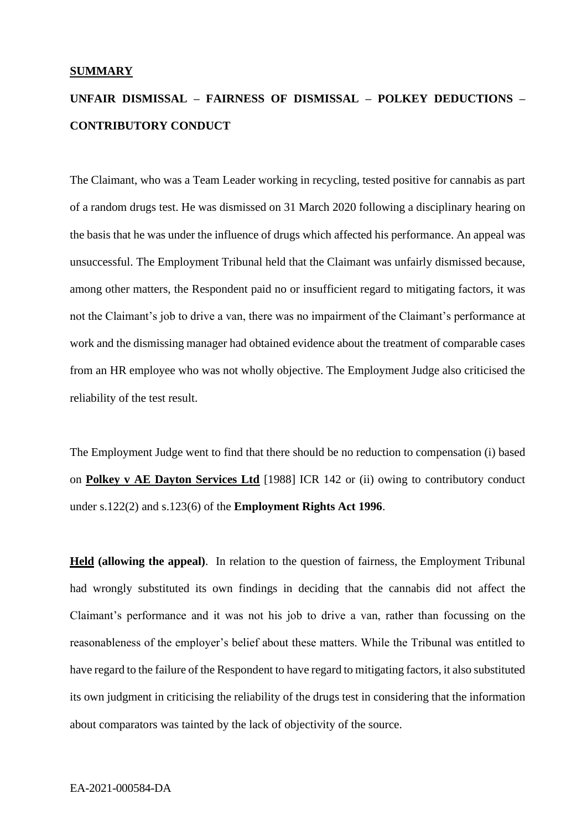#### **SUMMARY**

# **UNFAIR DISMISSAL – FAIRNESS OF DISMISSAL – POLKEY DEDUCTIONS – CONTRIBUTORY CONDUCT**

The Claimant, who was a Team Leader working in recycling, tested positive for cannabis as part of a random drugs test. He was dismissed on 31 March 2020 following a disciplinary hearing on the basis that he was under the influence of drugs which affected his performance. An appeal was unsuccessful. The Employment Tribunal held that the Claimant was unfairly dismissed because, among other matters, the Respondent paid no or insufficient regard to mitigating factors, it was not the Claimant's job to drive a van, there was no impairment of the Claimant's performance at work and the dismissing manager had obtained evidence about the treatment of comparable cases from an HR employee who was not wholly objective. The Employment Judge also criticised the reliability of the test result.

The Employment Judge went to find that there should be no reduction to compensation (i) based on **Polkey v AE Dayton Services Ltd** [1988] ICR 142 or (ii) owing to contributory conduct under s.122(2) and s.123(6) of the **Employment Rights Act 1996**.

**Held (allowing the appeal)**. In relation to the question of fairness, the Employment Tribunal had wrongly substituted its own findings in deciding that the cannabis did not affect the Claimant's performance and it was not his job to drive a van, rather than focussing on the reasonableness of the employer's belief about these matters. While the Tribunal was entitled to have regard to the failure of the Respondent to have regard to mitigating factors, it also substituted its own judgment in criticising the reliability of the drugs test in considering that the information about comparators was tainted by the lack of objectivity of the source.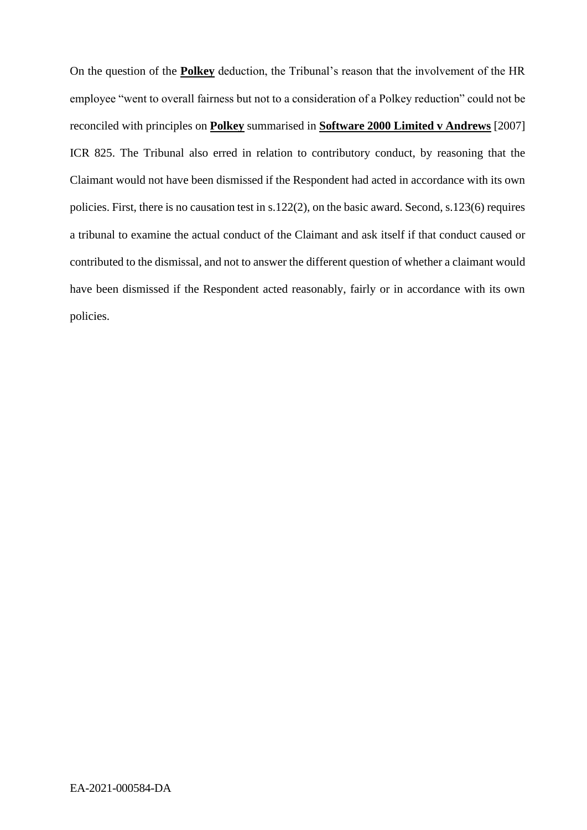On the question of the **Polkey** deduction, the Tribunal's reason that the involvement of the HR employee "went to overall fairness but not to a consideration of a Polkey reduction" could not be reconciled with principles on **Polkey** summarised in **Software 2000 Limited v Andrews** [2007] ICR 825. The Tribunal also erred in relation to contributory conduct, by reasoning that the Claimant would not have been dismissed if the Respondent had acted in accordance with its own policies. First, there is no causation test in s.122(2), on the basic award. Second, s.123(6) requires a tribunal to examine the actual conduct of the Claimant and ask itself if that conduct caused or contributed to the dismissal, and not to answer the different question of whether a claimant would have been dismissed if the Respondent acted reasonably, fairly or in accordance with its own policies.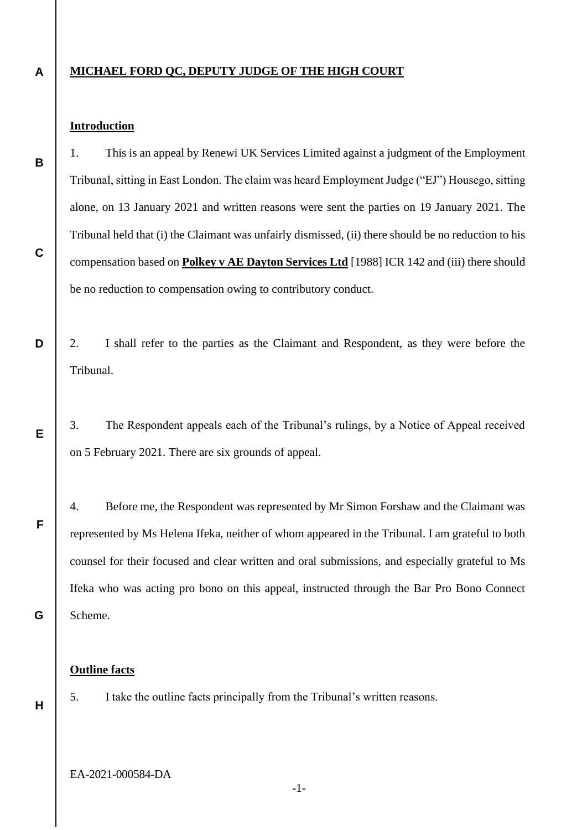#### **A MICHAEL FORD QC, DEPUTY JUDGE OF THE HIGH COURT**

### **Introduction**

**B**

**C**

**E**

**F**

1. This is an appeal by Renewi UK Services Limited against a judgment of the Employment Tribunal, sitting in East London. The claim was heard Employment Judge ("EJ") Housego, sitting alone, on 13 January 2021 and written reasons were sent the parties on 19 January 2021. The Tribunal held that (i) the Claimant was unfairly dismissed, (ii) there should be no reduction to his compensation based on **Polkey v AE Dayton Services Ltd** [1988] ICR 142 and (iii) there should be no reduction to compensation owing to contributory conduct.

**D** 2. I shall refer to the parties as the Claimant and Respondent, as they were before the Tribunal.

3. The Respondent appeals each of the Tribunal's rulings, by a Notice of Appeal received on 5 February 2021. There are six grounds of appeal.

4. Before me, the Respondent was represented by Mr Simon Forshaw and the Claimant was represented by Ms Helena Ifeka, neither of whom appeared in the Tribunal. I am grateful to both counsel for their focused and clear written and oral submissions, and especially grateful to Ms Ifeka who was acting pro bono on this appeal, instructed through the Bar Pro Bono Connect Scheme.

#### **Outline facts**

**H**

**G**

5. I take the outline facts principally from the Tribunal's written reasons.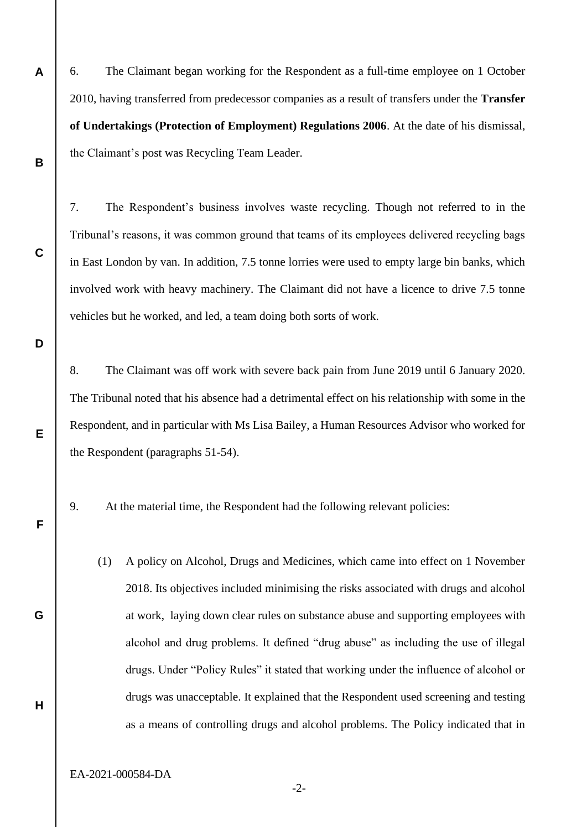6. The Claimant began working for the Respondent as a full-time employee on 1 October 2010, having transferred from predecessor companies as a result of transfers under the **Transfer of Undertakings (Protection of Employment) Regulations 2006**. At the date of his dismissal, the Claimant's post was Recycling Team Leader.

7. The Respondent's business involves waste recycling. Though not referred to in the Tribunal's reasons, it was common ground that teams of its employees delivered recycling bags in East London by van. In addition, 7.5 tonne lorries were used to empty large bin banks, which involved work with heavy machinery. The Claimant did not have a licence to drive 7.5 tonne vehicles but he worked, and led, a team doing both sorts of work.

8. The Claimant was off work with severe back pain from June 2019 until 6 January 2020. The Tribunal noted that his absence had a detrimental effect on his relationship with some in the Respondent, and in particular with Ms Lisa Bailey, a Human Resources Advisor who worked for the Respondent (paragraphs 51-54).

9. At the material time, the Respondent had the following relevant policies:

(1) A policy on Alcohol, Drugs and Medicines, which came into effect on 1 November 2018. Its objectives included minimising the risks associated with drugs and alcohol at work, laying down clear rules on substance abuse and supporting employees with alcohol and drug problems. It defined "drug abuse" as including the use of illegal drugs. Under "Policy Rules" it stated that working under the influence of alcohol or drugs was unacceptable. It explained that the Respondent used screening and testing as a means of controlling drugs and alcohol problems. The Policy indicated that in

EA-2021-000584-DA

**A**

**B**

**C**

**D**

**E**

**F**

**G**

**H**

-2-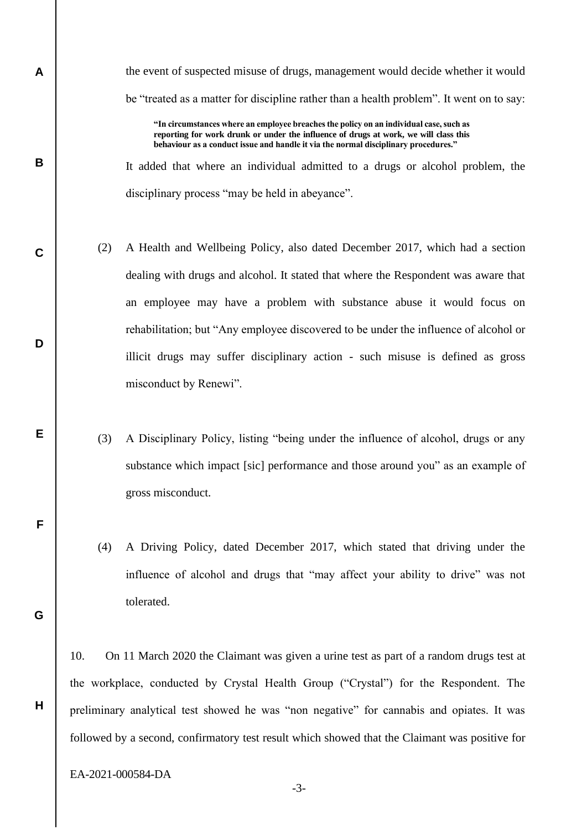the event of suspected misuse of drugs, management would decide whether it would be "treated as a matter for discipline rather than a health problem". It went on to say:

**"In circumstances where an employee breaches the policy on an individual case, such as reporting for work drunk or under the influence of drugs at work, we will class this behaviour as a conduct issue and handle it via the normal disciplinary procedures."**

It added that where an individual admitted to a drugs or alcohol problem, the disciplinary process "may be held in abeyance".

- (2) A Health and Wellbeing Policy, also dated December 2017, which had a section dealing with drugs and alcohol. It stated that where the Respondent was aware that an employee may have a problem with substance abuse it would focus on rehabilitation; but "Any employee discovered to be under the influence of alcohol or illicit drugs may suffer disciplinary action - such misuse is defined as gross misconduct by Renewi".
	- (3) A Disciplinary Policy, listing "being under the influence of alcohol, drugs or any substance which impact [sic] performance and those around you" as an example of gross misconduct.
	- (4) A Driving Policy, dated December 2017, which stated that driving under the influence of alcohol and drugs that "may affect your ability to drive" was not tolerated.

10. On 11 March 2020 the Claimant was given a urine test as part of a random drugs test at the workplace, conducted by Crystal Health Group ("Crystal") for the Respondent. The preliminary analytical test showed he was "non negative" for cannabis and opiates. It was followed by a second, confirmatory test result which showed that the Claimant was positive for

EA-2021-000584-DA

**A**

**B**

**C**

**D**

**E**

**F**

**G**

**H**

-3-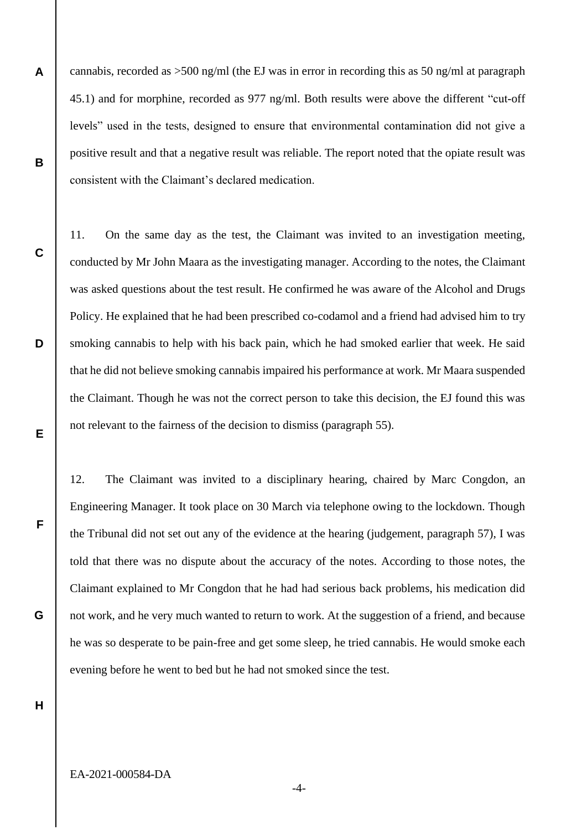**A B** cannabis, recorded as >500 ng/ml (the EJ was in error in recording this as 50 ng/ml at paragraph 45.1) and for morphine, recorded as 977 ng/ml. Both results were above the different "cut-off levels" used in the tests, designed to ensure that environmental contamination did not give a positive result and that a negative result was reliable. The report noted that the opiate result was consistent with the Claimant's declared medication.

11. On the same day as the test, the Claimant was invited to an investigation meeting, conducted by Mr John Maara as the investigating manager. According to the notes, the Claimant was asked questions about the test result. He confirmed he was aware of the Alcohol and Drugs Policy. He explained that he had been prescribed co-codamol and a friend had advised him to try smoking cannabis to help with his back pain, which he had smoked earlier that week. He said that he did not believe smoking cannabis impaired his performance at work. Mr Maara suspended the Claimant. Though he was not the correct person to take this decision, the EJ found this was not relevant to the fairness of the decision to dismiss (paragraph 55).

12. The Claimant was invited to a disciplinary hearing, chaired by Marc Congdon, an Engineering Manager. It took place on 30 March via telephone owing to the lockdown. Though the Tribunal did not set out any of the evidence at the hearing (judgement, paragraph 57), I was told that there was no dispute about the accuracy of the notes. According to those notes, the Claimant explained to Mr Congdon that he had had serious back problems, his medication did not work, and he very much wanted to return to work. At the suggestion of a friend, and because he was so desperate to be pain-free and get some sleep, he tried cannabis. He would smoke each evening before he went to bed but he had not smoked since the test.

**H**

**G**

**C**

**D**

**E**

**F**

EA-2021-000584-DA

-4-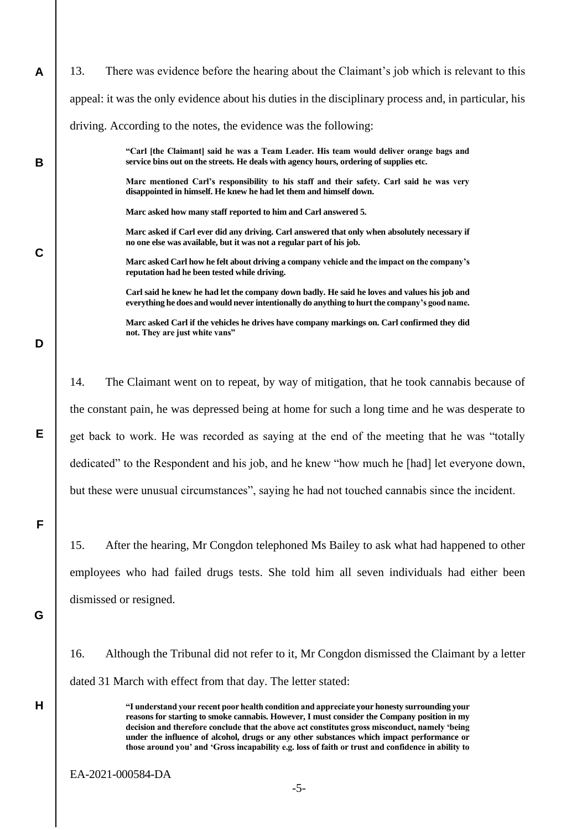| A           | There was evidence before the hearing about the Claimant's job which is relevant to this<br>13.                                                                                               |  |  |
|-------------|-----------------------------------------------------------------------------------------------------------------------------------------------------------------------------------------------|--|--|
|             | appeal: it was the only evidence about his duties in the disciplinary process and, in particular, his                                                                                         |  |  |
|             | driving. According to the notes, the evidence was the following:                                                                                                                              |  |  |
| B           | "Carl [the Claimant] said he was a Team Leader. His team would deliver orange bags and<br>service bins out on the streets. He deals with agency hours, ordering of supplies etc.              |  |  |
|             | Marc mentioned Carl's responsibility to his staff and their safety. Carl said he was very<br>disappointed in himself. He knew he had let them and himself down.                               |  |  |
| $\mathbf C$ | Marc asked how many staff reported to him and Carl answered 5.                                                                                                                                |  |  |
|             | Marc asked if Carl ever did any driving. Carl answered that only when absolutely necessary if<br>no one else was available, but it was not a regular part of his job.                         |  |  |
|             | Marc asked Carl how he felt about driving a company vehicle and the impact on the company's<br>reputation had he been tested while driving.                                                   |  |  |
|             | Carl said he knew he had let the company down badly. He said he loves and values his job and<br>everything he does and would never intentionally do anything to hurt the company's good name. |  |  |
| D           | Marc asked Carl if the vehicles he drives have company markings on. Carl confirmed they did<br>not. They are just white vans"                                                                 |  |  |
|             | 14.<br>The Claimant went on to repeat, by way of mitigation, that he took cannabis because of                                                                                                 |  |  |
|             | the constant pain, he was depressed being at home for such a long time and he was desperate to                                                                                                |  |  |
| Е           | get back to work. He was recorded as saying at the end of the meeting that he was "totally                                                                                                    |  |  |
|             | dedicated" to the Respondent and his job, and he knew "how much he [had] let everyone down,                                                                                                   |  |  |
|             | but these were unusual circumstances", saying he had not touched cannabis since the incident.                                                                                                 |  |  |
| F           |                                                                                                                                                                                               |  |  |
|             | After the hearing, Mr Congdon telephoned Ms Bailey to ask what had happened to other<br>15.                                                                                                   |  |  |
|             | employees who had failed drugs tests. She told him all seven individuals had either been                                                                                                      |  |  |
|             | dismissed or resigned.                                                                                                                                                                        |  |  |
| G           |                                                                                                                                                                                               |  |  |

16. Although the Tribunal did not refer to it, Mr Congdon dismissed the Claimant by a letter dated 31 March with effect from that day. The letter stated:

> **"I understand your recent poor health condition and appreciate your honesty surrounding your reasons for starting to smoke cannabis. However, I must consider the Company position in my decision and therefore conclude that the above act constitutes gross misconduct, namely 'being under the influence of alcohol, drugs or any other substances which impact performance or those around you' and 'Gross incapability e.g. loss of faith or trust and confidence in ability to**

**H**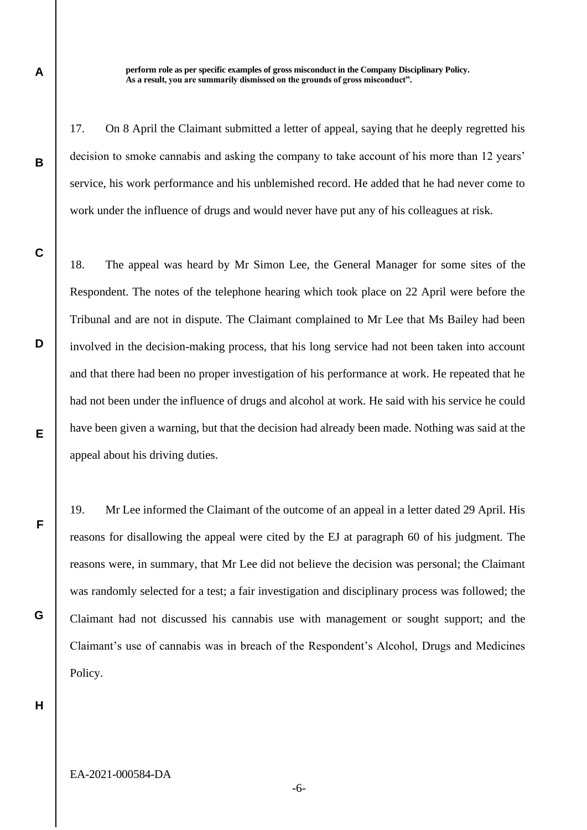**perform role as per specific examples of gross misconduct in the Company Disciplinary Policy. As a result, you are summarily dismissed on the grounds of gross misconduct".**

17. On 8 April the Claimant submitted a letter of appeal, saying that he deeply regretted his decision to smoke cannabis and asking the company to take account of his more than 12 years' service, his work performance and his unblemished record. He added that he had never come to work under the influence of drugs and would never have put any of his colleagues at risk.

18. The appeal was heard by Mr Simon Lee, the General Manager for some sites of the Respondent. The notes of the telephone hearing which took place on 22 April were before the Tribunal and are not in dispute. The Claimant complained to Mr Lee that Ms Bailey had been involved in the decision-making process, that his long service had not been taken into account and that there had been no proper investigation of his performance at work. He repeated that he had not been under the influence of drugs and alcohol at work. He said with his service he could have been given a warning, but that the decision had already been made. Nothing was said at the appeal about his driving duties.

19. Mr Lee informed the Claimant of the outcome of an appeal in a letter dated 29 April. His reasons for disallowing the appeal were cited by the EJ at paragraph 60 of his judgment. The reasons were, in summary, that Mr Lee did not believe the decision was personal; the Claimant was randomly selected for a test; a fair investigation and disciplinary process was followed; the Claimant had not discussed his cannabis use with management or sought support; and the Claimant's use of cannabis was in breach of the Respondent's Alcohol, Drugs and Medicines Policy.

**H**

**A**

**B**

**C**

**D**

**E**

**F**

**G**

-6-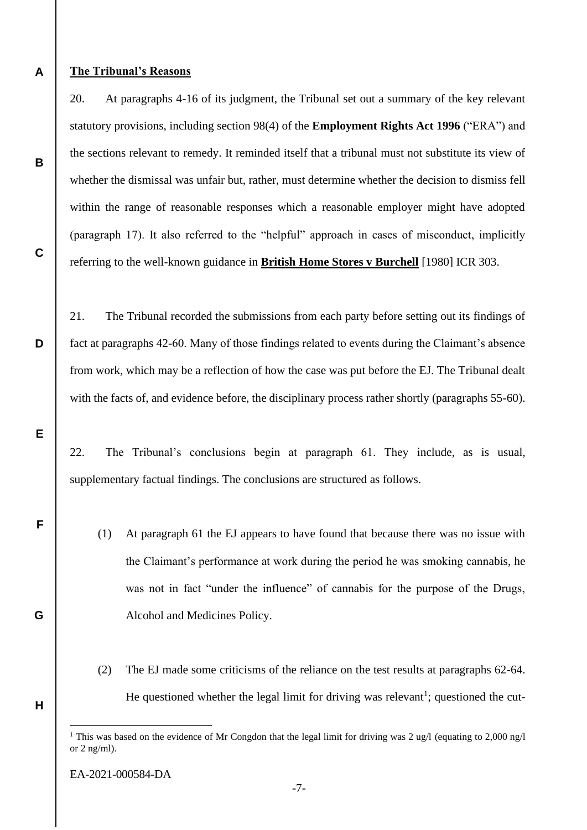**A**

**B**

**C**

**D**

**E**

**F**

**G**

**H**

#### **The Tribunal's Reasons**

20. At paragraphs 4-16 of its judgment, the Tribunal set out a summary of the key relevant statutory provisions, including section 98(4) of the **Employment Rights Act 1996** ("ERA") and the sections relevant to remedy. It reminded itself that a tribunal must not substitute its view of whether the dismissal was unfair but, rather, must determine whether the decision to dismiss fell within the range of reasonable responses which a reasonable employer might have adopted (paragraph 17). It also referred to the "helpful" approach in cases of misconduct, implicitly referring to the well-known guidance in **British Home Stores v Burchell** [1980] ICR 303.

21. The Tribunal recorded the submissions from each party before setting out its findings of fact at paragraphs 42-60. Many of those findings related to events during the Claimant's absence from work, which may be a reflection of how the case was put before the EJ. The Tribunal dealt with the facts of, and evidence before, the disciplinary process rather shortly (paragraphs 55-60).

22. The Tribunal's conclusions begin at paragraph 61. They include, as is usual, supplementary factual findings. The conclusions are structured as follows.

- (1) At paragraph 61 the EJ appears to have found that because there was no issue with the Claimant's performance at work during the period he was smoking cannabis, he was not in fact "under the influence" of cannabis for the purpose of the Drugs, Alcohol and Medicines Policy.
- (2) The EJ made some criticisms of the reliance on the test results at paragraphs 62-64. He questioned whether the legal limit for driving was relevant<sup>1</sup>; questioned the cut-

<sup>&</sup>lt;sup>1</sup> This was based on the evidence of Mr Congdon that the legal limit for driving was 2 ug/l (equating to 2,000 ng/l or 2 ng/ml).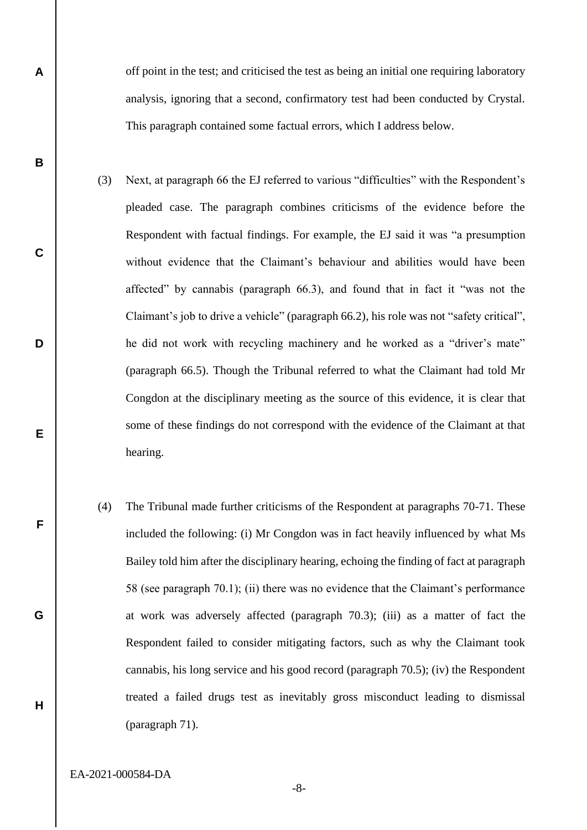off point in the test; and criticised the test as being an initial one requiring laboratory analysis, ignoring that a second, confirmatory test had been conducted by Crystal. This paragraph contained some factual errors, which I address below.

- (3) Next, at paragraph 66 the EJ referred to various "difficulties" with the Respondent's pleaded case. The paragraph combines criticisms of the evidence before the Respondent with factual findings. For example, the EJ said it was "a presumption without evidence that the Claimant's behaviour and abilities would have been affected" by cannabis (paragraph 66.3), and found that in fact it "was not the Claimant's job to drive a vehicle" (paragraph 66.2), his role was not "safety critical", he did not work with recycling machinery and he worked as a "driver's mate" (paragraph 66.5). Though the Tribunal referred to what the Claimant had told Mr Congdon at the disciplinary meeting as the source of this evidence, it is clear that some of these findings do not correspond with the evidence of the Claimant at that hearing.
- (4) The Tribunal made further criticisms of the Respondent at paragraphs 70-71. These included the following: (i) Mr Congdon was in fact heavily influenced by what Ms Bailey told him after the disciplinary hearing, echoing the finding of fact at paragraph 58 (see paragraph 70.1); (ii) there was no evidence that the Claimant's performance at work was adversely affected (paragraph 70.3); (iii) as a matter of fact the Respondent failed to consider mitigating factors, such as why the Claimant took cannabis, his long service and his good record (paragraph 70.5); (iv) the Respondent treated a failed drugs test as inevitably gross misconduct leading to dismissal (paragraph 71).

EA-2021-000584-DA

**A**

**B**

**C**

**D**

**E**

**F**

**G**

**H**

-8-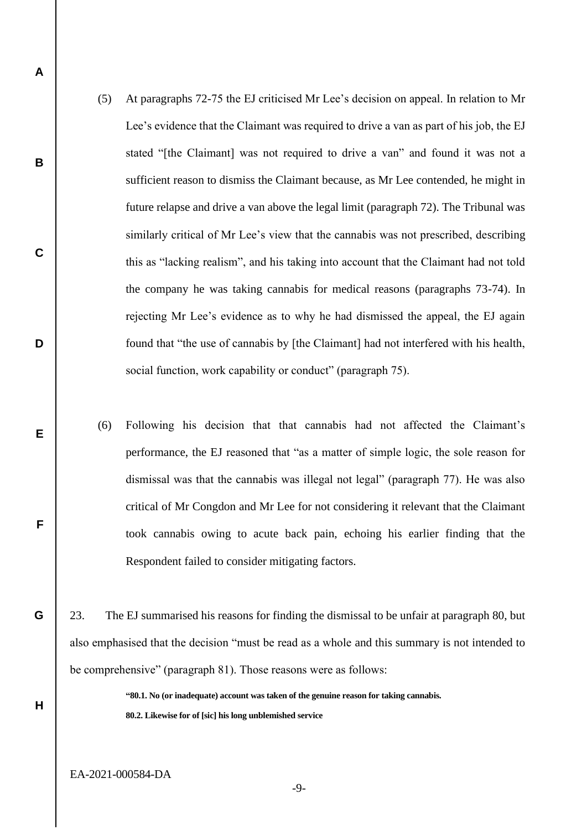- (5) At paragraphs 72-75 the EJ criticised Mr Lee's decision on appeal. In relation to Mr Lee's evidence that the Claimant was required to drive a van as part of his job, the EJ stated "[the Claimant] was not required to drive a van" and found it was not a sufficient reason to dismiss the Claimant because, as Mr Lee contended, he might in future relapse and drive a van above the legal limit (paragraph 72). The Tribunal was similarly critical of Mr Lee's view that the cannabis was not prescribed, describing this as "lacking realism", and his taking into account that the Claimant had not told the company he was taking cannabis for medical reasons (paragraphs 73-74). In rejecting Mr Lee's evidence as to why he had dismissed the appeal, the EJ again found that "the use of cannabis by [the Claimant] had not interfered with his health, social function, work capability or conduct" (paragraph 75).
- (6) Following his decision that that cannabis had not affected the Claimant's performance, the EJ reasoned that "as a matter of simple logic, the sole reason for dismissal was that the cannabis was illegal not legal" (paragraph 77). He was also critical of Mr Congdon and Mr Lee for not considering it relevant that the Claimant took cannabis owing to acute back pain, echoing his earlier finding that the Respondent failed to consider mitigating factors.

23. The EJ summarised his reasons for finding the dismissal to be unfair at paragraph 80, but also emphasised that the decision "must be read as a whole and this summary is not intended to be comprehensive" (paragraph 81). Those reasons were as follows:

> **"80.1. No (or inadequate) account was taken of the genuine reason for taking cannabis. 80.2. Likewise for of [sic] his long unblemished service**

**A**

**B**

**C**

**D**

**E**

**F**

**G**

**H**

-9-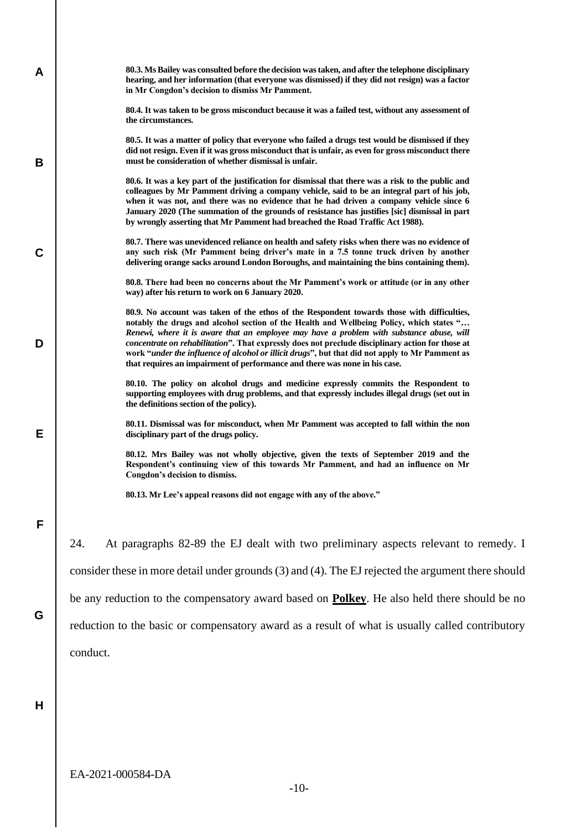| A           |                                                                                                     | 80.3. Ms Bailey was consulted before the decision was taken, and after the telephone disciplinary<br>hearing, and her information (that everyone was dismissed) if they did not resign) was a factor<br>in Mr Congdon's decision to dismiss Mr Pamment.                                                                                                                                                                                                                                                                                                                  |  |
|-------------|-----------------------------------------------------------------------------------------------------|--------------------------------------------------------------------------------------------------------------------------------------------------------------------------------------------------------------------------------------------------------------------------------------------------------------------------------------------------------------------------------------------------------------------------------------------------------------------------------------------------------------------------------------------------------------------------|--|
|             |                                                                                                     | 80.4. It was taken to be gross misconduct because it was a failed test, without any assessment of<br>the circumstances.                                                                                                                                                                                                                                                                                                                                                                                                                                                  |  |
| В           |                                                                                                     | 80.5. It was a matter of policy that everyone who failed a drugs test would be dismissed if they<br>did not resign. Even if it was gross misconduct that is unfair, as even for gross misconduct there<br>must be consideration of whether dismissal is unfair.                                                                                                                                                                                                                                                                                                          |  |
|             |                                                                                                     | 80.6. It was a key part of the justification for dismissal that there was a risk to the public and<br>colleagues by Mr Pamment driving a company vehicle, said to be an integral part of his job,<br>when it was not, and there was no evidence that he had driven a company vehicle since 6<br>January 2020 (The summation of the grounds of resistance has justifies [sic] dismissal in part<br>by wrongly asserting that Mr Pamment had breached the Road Traffic Act 1988).                                                                                          |  |
| $\mathbf C$ |                                                                                                     | 80.7. There was unevidenced reliance on health and safety risks when there was no evidence of<br>any such risk (Mr Pamment being driver's mate in a 7.5 tonne truck driven by another<br>delivering orange sacks around London Boroughs, and maintaining the bins containing them).                                                                                                                                                                                                                                                                                      |  |
|             |                                                                                                     | 80.8. There had been no concerns about the Mr Pamment's work or attitude (or in any other<br>way) after his return to work on 6 January 2020.                                                                                                                                                                                                                                                                                                                                                                                                                            |  |
| D           |                                                                                                     | 80.9. No account was taken of the ethos of the Respondent towards those with difficulties,<br>notably the drugs and alcohol section of the Health and Wellbeing Policy, which states "<br>Renewi, where it is aware that an employee may have a problem with substance abuse, will<br>concentrate on rehabilitation". That expressly does not preclude disciplinary action for those at<br>work "under the influence of alcohol or illicit drugs", but that did not apply to Mr Pamment as<br>that requires an impairment of performance and there was none in his case. |  |
|             |                                                                                                     | 80.10. The policy on alcohol drugs and medicine expressly commits the Respondent to<br>supporting employees with drug problems, and that expressly includes illegal drugs (set out in<br>the definitions section of the policy).                                                                                                                                                                                                                                                                                                                                         |  |
| Е           |                                                                                                     | 80.11. Dismissal was for misconduct, when Mr Pamment was accepted to fall within the non<br>disciplinary part of the drugs policy.                                                                                                                                                                                                                                                                                                                                                                                                                                       |  |
|             |                                                                                                     | 80.12. Mrs Bailey was not wholly objective, given the texts of September 2019 and the<br>Respondent's continuing view of this towards Mr Pamment, and had an influence on Mr<br>Congdon's decision to dismiss.                                                                                                                                                                                                                                                                                                                                                           |  |
|             |                                                                                                     | 80.13. Mr Lee's appeal reasons did not engage with any of the above."                                                                                                                                                                                                                                                                                                                                                                                                                                                                                                    |  |
| F           |                                                                                                     |                                                                                                                                                                                                                                                                                                                                                                                                                                                                                                                                                                          |  |
| G           | 24.                                                                                                 | At paragraphs 82-89 the EJ dealt with two preliminary aspects relevant to remedy. I                                                                                                                                                                                                                                                                                                                                                                                                                                                                                      |  |
|             | consider these in more detail under grounds (3) and (4). The EJ rejected the argument there should  |                                                                                                                                                                                                                                                                                                                                                                                                                                                                                                                                                                          |  |
|             | be any reduction to the compensatory award based on <b>Polkey</b> . He also held there should be no |                                                                                                                                                                                                                                                                                                                                                                                                                                                                                                                                                                          |  |
|             | reduction to the basic or compensatory award as a result of what is usually called contributory     |                                                                                                                                                                                                                                                                                                                                                                                                                                                                                                                                                                          |  |
|             | conduct.                                                                                            |                                                                                                                                                                                                                                                                                                                                                                                                                                                                                                                                                                          |  |
|             |                                                                                                     |                                                                                                                                                                                                                                                                                                                                                                                                                                                                                                                                                                          |  |
| H           |                                                                                                     |                                                                                                                                                                                                                                                                                                                                                                                                                                                                                                                                                                          |  |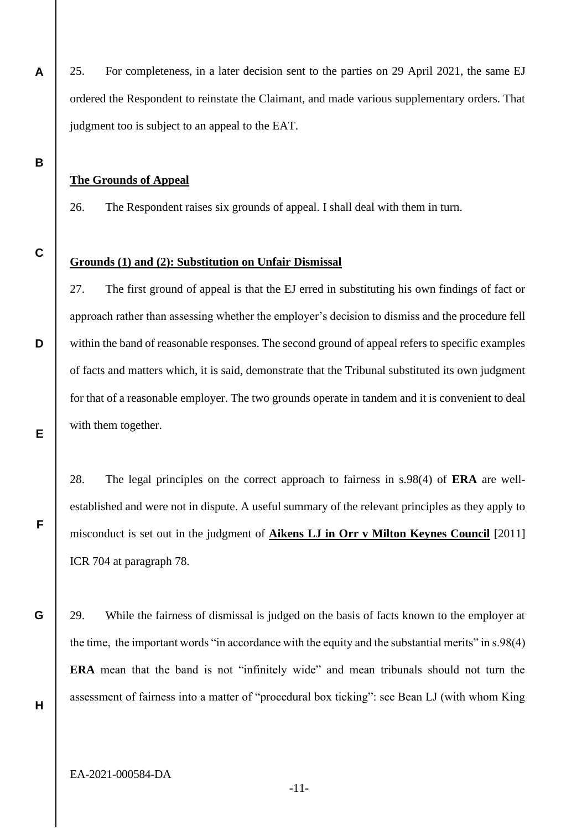25. For completeness, in a later decision sent to the parties on 29 April 2021, the same EJ ordered the Respondent to reinstate the Claimant, and made various supplementary orders. That judgment too is subject to an appeal to the EAT.

#### **The Grounds of Appeal**

26. The Respondent raises six grounds of appeal. I shall deal with them in turn.

**C**

**D**

**E**

**F**

**G**

**A**

**B**

#### **Grounds (1) and (2): Substitution on Unfair Dismissal**

27. The first ground of appeal is that the EJ erred in substituting his own findings of fact or approach rather than assessing whether the employer's decision to dismiss and the procedure fell within the band of reasonable responses. The second ground of appeal refers to specific examples of facts and matters which, it is said, demonstrate that the Tribunal substituted its own judgment for that of a reasonable employer. The two grounds operate in tandem and it is convenient to deal with them together.

28. The legal principles on the correct approach to fairness in s.98(4) of **ERA** are wellestablished and were not in dispute. A useful summary of the relevant principles as they apply to misconduct is set out in the judgment of **Aikens LJ in Orr v Milton Keynes Council** [2011] ICR 704 at paragraph 78.

29. While the fairness of dismissal is judged on the basis of facts known to the employer at the time, the important words "in accordance with the equity and the substantial merits" in s.98(4) **ERA** mean that the band is not "infinitely wide" and mean tribunals should not turn the assessment of fairness into a matter of "procedural box ticking": see Bean LJ (with whom King

**H**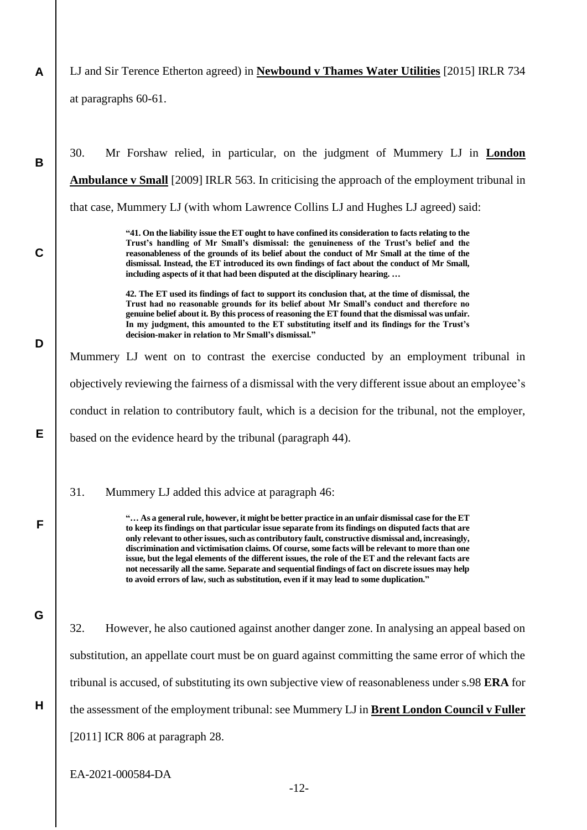- **A** LJ and Sir Terence Etherton agreed) in **Newbound v Thames Water Utilities** [2015] IRLR 734 at paragraphs 60-61.
- **B C D E F G H** 30. Mr Forshaw relied, in particular, on the judgment of Mummery LJ in **London Ambulance v Small** [2009] IRLR 563. In criticising the approach of the employment tribunal in that case, Mummery LJ (with whom Lawrence Collins LJ and Hughes LJ agreed) said: **"41. On the liability issue the ET ought to have confined its consideration to facts relating to the Trust's handling of Mr Small's dismissal: the genuineness of the Trust's belief and the reasonableness of the grounds of its belief about the conduct of Mr Small at the time of the dismissal. Instead, the ET introduced its own findings of fact about the conduct of Mr Small, including aspects of it that had been disputed at the disciplinary hearing. … 42. The ET used its findings of fact to support its conclusion that, at the time of dismissal, the Trust had no reasonable grounds for its belief about Mr Small's conduct and therefore no genuine belief about it. By this process of reasoning the ET found that the dismissal was unfair. In my judgment, this amounted to the ET substituting itself and its findings for the Trust's decision-maker in relation to Mr Small's dismissal."** Mummery LJ went on to contrast the exercise conducted by an employment tribunal in objectively reviewing the fairness of a dismissal with the very different issue about an employee's conduct in relation to contributory fault, which is a decision for the tribunal, not the employer, based on the evidence heard by the tribunal (paragraph 44). 31. Mummery LJ added this advice at paragraph 46: **"… As a general rule, however, it might be better practice in an unfair dismissal case for the ET to keep its findings on that particular issue separate from its findings on disputed facts that are only relevant to other issues, such as contributory fault, constructive dismissal and, increasingly, discrimination and victimisation claims. Of course, some facts will be relevant to more than one issue, but the legal elements of the different issues, the role of the ET and the relevant facts are not necessarily all the same. Separate and sequential findings of fact on discrete issues may help to avoid errors of law, such as substitution, even if it may lead to some duplication."** 32. However, he also cautioned against another danger zone. In analysing an appeal based on substitution, an appellate court must be on guard against committing the same error of which the tribunal is accused, of substituting its own subjective view of reasonableness under s.98 **ERA** for the assessment of the employment tribunal: see Mummery LJ in **Brent London Council v Fuller** [2011] ICR 806 at paragraph 28.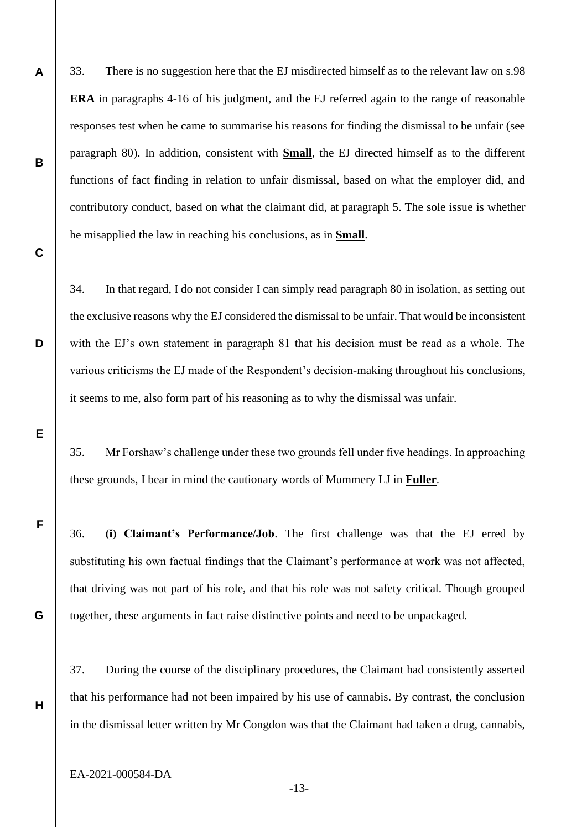33. There is no suggestion here that the EJ misdirected himself as to the relevant law on s.98 **ERA** in paragraphs 4-16 of his judgment, and the EJ referred again to the range of reasonable responses test when he came to summarise his reasons for finding the dismissal to be unfair (see paragraph 80). In addition, consistent with **Small**, the EJ directed himself as to the different functions of fact finding in relation to unfair dismissal, based on what the employer did, and contributory conduct, based on what the claimant did, at paragraph 5. The sole issue is whether he misapplied the law in reaching his conclusions, as in **Small**.

34. In that regard, I do not consider I can simply read paragraph 80 in isolation, as setting out the exclusive reasons why the EJ considered the dismissal to be unfair. That would be inconsistent with the EJ's own statement in paragraph 81 that his decision must be read as a whole. The various criticisms the EJ made of the Respondent's decision-making throughout his conclusions, it seems to me, also form part of his reasoning as to why the dismissal was unfair.

35. Mr Forshaw's challenge under these two grounds fell under five headings. In approaching these grounds, I bear in mind the cautionary words of Mummery LJ in **Fuller**.

36. **(i) Claimant's Performance/Job**. The first challenge was that the EJ erred by substituting his own factual findings that the Claimant's performance at work was not affected, that driving was not part of his role, and that his role was not safety critical. Though grouped together, these arguments in fact raise distinctive points and need to be unpackaged.

37. During the course of the disciplinary procedures, the Claimant had consistently asserted that his performance had not been impaired by his use of cannabis. By contrast, the conclusion in the dismissal letter written by Mr Congdon was that the Claimant had taken a drug, cannabis,

EA-2021-000584-DA

**A**

**B**

**C**

**D**

**E**

**F**

**G**

**H**

-13-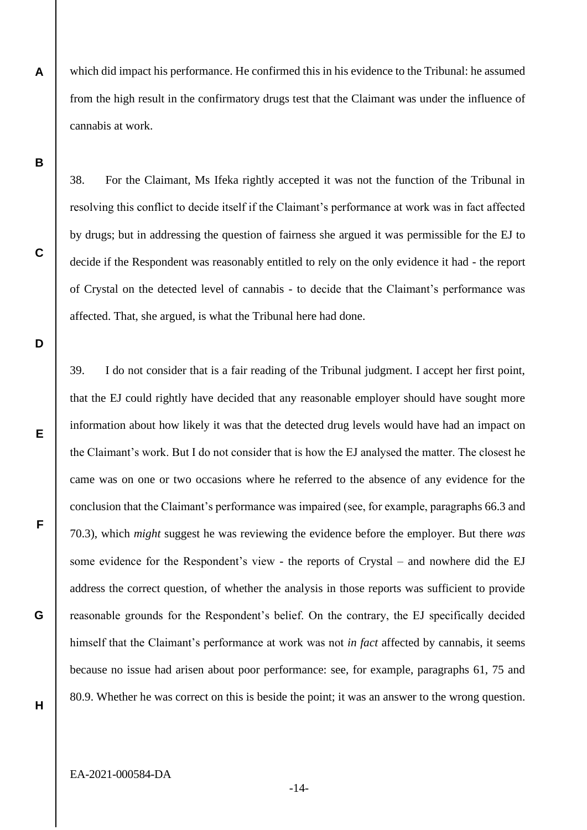which did impact his performance. He confirmed this in his evidence to the Tribunal: he assumed from the high result in the confirmatory drugs test that the Claimant was under the influence of cannabis at work.

**B**

**C**

**D**

**E**

**F**

**G**

**A**

38. For the Claimant, Ms Ifeka rightly accepted it was not the function of the Tribunal in resolving this conflict to decide itself if the Claimant's performance at work was in fact affected by drugs; but in addressing the question of fairness she argued it was permissible for the EJ to decide if the Respondent was reasonably entitled to rely on the only evidence it had - the report of Crystal on the detected level of cannabis - to decide that the Claimant's performance was affected. That, she argued, is what the Tribunal here had done.

39. I do not consider that is a fair reading of the Tribunal judgment. I accept her first point, that the EJ could rightly have decided that any reasonable employer should have sought more information about how likely it was that the detected drug levels would have had an impact on the Claimant's work. But I do not consider that is how the EJ analysed the matter. The closest he came was on one or two occasions where he referred to the absence of any evidence for the conclusion that the Claimant's performance was impaired (see, for example, paragraphs 66.3 and 70.3), which *might* suggest he was reviewing the evidence before the employer. But there *was* some evidence for the Respondent's view - the reports of Crystal – and nowhere did the EJ address the correct question, of whether the analysis in those reports was sufficient to provide reasonable grounds for the Respondent's belief. On the contrary, the EJ specifically decided himself that the Claimant's performance at work was not *in fact* affected by cannabis, it seems because no issue had arisen about poor performance: see, for example, paragraphs 61, 75 and 80.9. Whether he was correct on this is beside the point; it was an answer to the wrong question.

**H**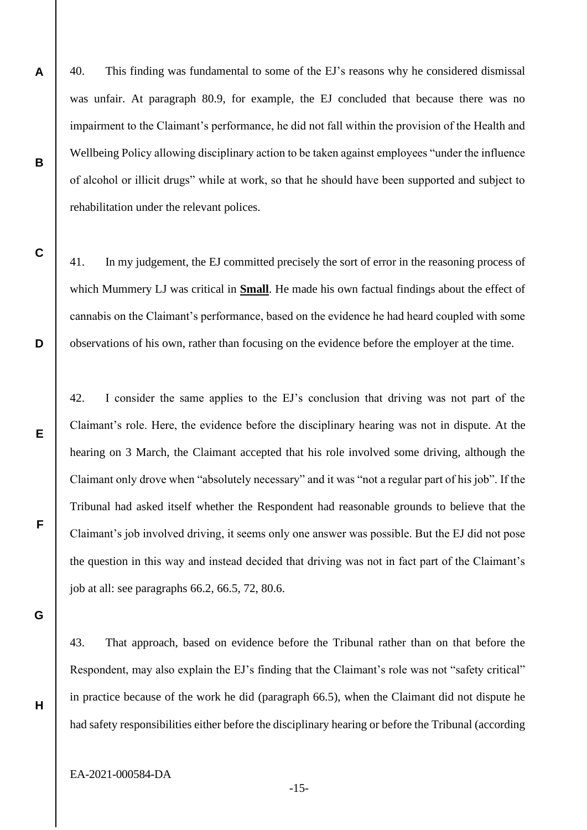40. This finding was fundamental to some of the EJ's reasons why he considered dismissal was unfair. At paragraph 80.9, for example, the EJ concluded that because there was no impairment to the Claimant's performance, he did not fall within the provision of the Health and Wellbeing Policy allowing disciplinary action to be taken against employees "under the influence of alcohol or illicit drugs" while at work, so that he should have been supported and subject to rehabilitation under the relevant polices.

41. In my judgement, the EJ committed precisely the sort of error in the reasoning process of which Mummery LJ was critical in **Small**. He made his own factual findings about the effect of cannabis on the Claimant's performance, based on the evidence he had heard coupled with some observations of his own, rather than focusing on the evidence before the employer at the time.

42. I consider the same applies to the EJ's conclusion that driving was not part of the Claimant's role. Here, the evidence before the disciplinary hearing was not in dispute. At the hearing on 3 March, the Claimant accepted that his role involved some driving, although the Claimant only drove when "absolutely necessary" and it was "not a regular part of his job". If the Tribunal had asked itself whether the Respondent had reasonable grounds to believe that the Claimant's job involved driving, it seems only one answer was possible. But the EJ did not pose the question in this way and instead decided that driving was not in fact part of the Claimant's job at all: see paragraphs 66.2, 66.5, 72, 80.6.

**G**

**H**

**A**

**B**

**C**

**D**

**E**

**F**

43. That approach, based on evidence before the Tribunal rather than on that before the Respondent, may also explain the EJ's finding that the Claimant's role was not "safety critical" in practice because of the work he did (paragraph 66.5), when the Claimant did not dispute he had safety responsibilities either before the disciplinary hearing or before the Tribunal (according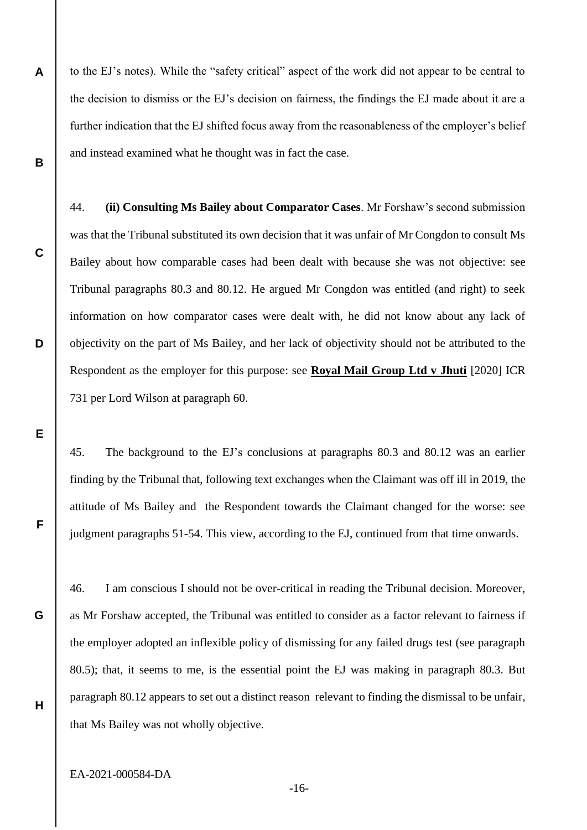**A B** to the EJ's notes). While the "safety critical" aspect of the work did not appear to be central to the decision to dismiss or the EJ's decision on fairness, the findings the EJ made about it are a further indication that the EJ shifted focus away from the reasonableness of the employer's belief and instead examined what he thought was in fact the case.

44. **(ii) Consulting Ms Bailey about Comparator Cases**. Mr Forshaw's second submission was that the Tribunal substituted its own decision that it was unfair of Mr Congdon to consult Ms Bailey about how comparable cases had been dealt with because she was not objective: see Tribunal paragraphs 80.3 and 80.12. He argued Mr Congdon was entitled (and right) to seek information on how comparator cases were dealt with, he did not know about any lack of objectivity on the part of Ms Bailey, and her lack of objectivity should not be attributed to the Respondent as the employer for this purpose: see **Royal Mail Group Ltd v Jhuti** [2020] ICR 731 per Lord Wilson at paragraph 60.

45. The background to the EJ's conclusions at paragraphs 80.3 and 80.12 was an earlier finding by the Tribunal that, following text exchanges when the Claimant was off ill in 2019, the attitude of Ms Bailey and the Respondent towards the Claimant changed for the worse: see judgment paragraphs 51-54. This view, according to the EJ, continued from that time onwards.

46. I am conscious I should not be over-critical in reading the Tribunal decision. Moreover, as Mr Forshaw accepted, the Tribunal was entitled to consider as a factor relevant to fairness if the employer adopted an inflexible policy of dismissing for any failed drugs test (see paragraph 80.5); that, it seems to me, is the essential point the EJ was making in paragraph 80.3. But paragraph 80.12 appears to set out a distinct reason relevant to finding the dismissal to be unfair, that Ms Bailey was not wholly objective.

**H**

**C**

**D**

**E**

**F**

**G**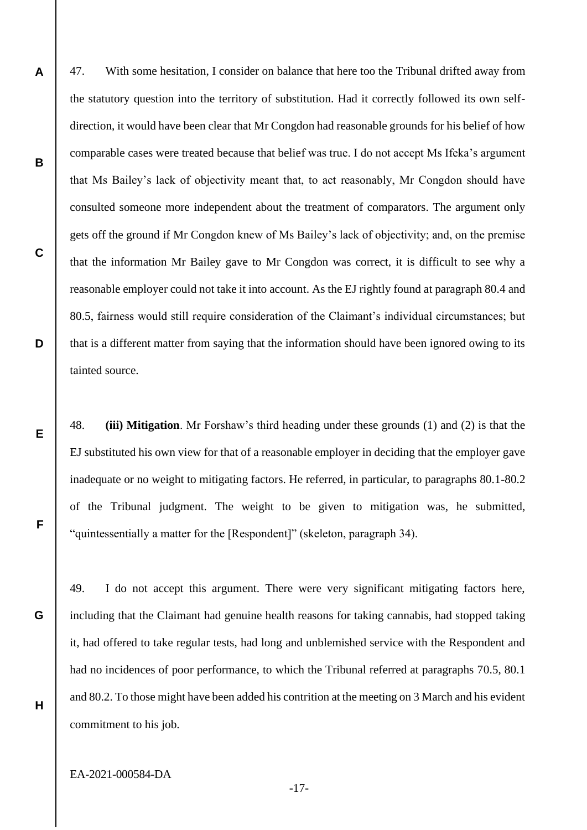47. With some hesitation, I consider on balance that here too the Tribunal drifted away from the statutory question into the territory of substitution. Had it correctly followed its own selfdirection, it would have been clear that Mr Congdon had reasonable grounds for his belief of how comparable cases were treated because that belief was true. I do not accept Ms Ifeka's argument that Ms Bailey's lack of objectivity meant that, to act reasonably, Mr Congdon should have consulted someone more independent about the treatment of comparators. The argument only gets off the ground if Mr Congdon knew of Ms Bailey's lack of objectivity; and, on the premise that the information Mr Bailey gave to Mr Congdon was correct, it is difficult to see why a reasonable employer could not take it into account. As the EJ rightly found at paragraph 80.4 and 80.5, fairness would still require consideration of the Claimant's individual circumstances; but that is a different matter from saying that the information should have been ignored owing to its tainted source.

48. **(iii) Mitigation**. Mr Forshaw's third heading under these grounds (1) and (2) is that the EJ substituted his own view for that of a reasonable employer in deciding that the employer gave inadequate or no weight to mitigating factors. He referred, in particular, to paragraphs 80.1-80.2 of the Tribunal judgment. The weight to be given to mitigation was, he submitted, "quintessentially a matter for the [Respondent]" (skeleton, paragraph 34).

49. I do not accept this argument. There were very significant mitigating factors here, including that the Claimant had genuine health reasons for taking cannabis, had stopped taking it, had offered to take regular tests, had long and unblemished service with the Respondent and had no incidences of poor performance, to which the Tribunal referred at paragraphs 70.5, 80.1 and 80.2. To those might have been added his contrition at the meeting on 3 March and his evident commitment to his job.

EA-2021-000584-DA

**A**

**B**

**C**

**D**

**E**

**F**

**G**

**H**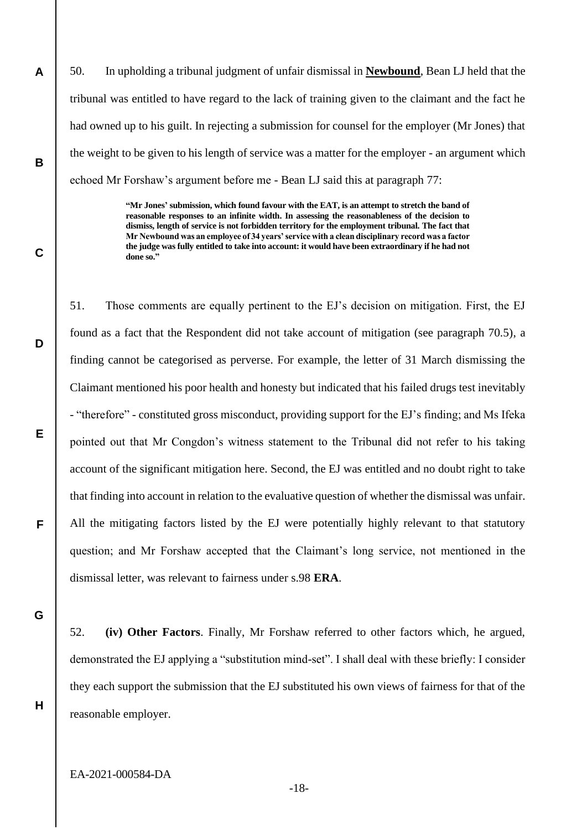50. In upholding a tribunal judgment of unfair dismissal in **Newbound**, Bean LJ held that the tribunal was entitled to have regard to the lack of training given to the claimant and the fact he had owned up to his guilt. In rejecting a submission for counsel for the employer (Mr Jones) that the weight to be given to his length of service was a matter for the employer - an argument which echoed Mr Forshaw's argument before me - Bean LJ said this at paragraph 77:

> **"Mr Jones' submission, which found favour with the EAT, is an attempt to stretch the band of reasonable responses to an infinite width. In assessing the reasonableness of the decision to dismiss, length of service is not forbidden territory for the employment tribunal. The fact that Mr Newbound was an employee of 34 years' service with a clean disciplinary record was a factor the judge was fully entitled to take into account: it would have been extraordinary if he had not done so."**

51. Those comments are equally pertinent to the EJ's decision on mitigation. First, the EJ found as a fact that the Respondent did not take account of mitigation (see paragraph 70.5), a finding cannot be categorised as perverse. For example, the letter of 31 March dismissing the Claimant mentioned his poor health and honesty but indicated that his failed drugs test inevitably - "therefore" - constituted gross misconduct, providing support for the EJ's finding; and Ms Ifeka pointed out that Mr Congdon's witness statement to the Tribunal did not refer to his taking account of the significant mitigation here. Second, the EJ was entitled and no doubt right to take that finding into account in relation to the evaluative question of whether the dismissal was unfair. All the mitigating factors listed by the EJ were potentially highly relevant to that statutory question; and Mr Forshaw accepted that the Claimant's long service, not mentioned in the dismissal letter, was relevant to fairness under s.98 **ERA**.

**G**

**H**

**A**

**B**

**C**

**D**

**E**

**F**

52. **(iv) Other Factors**. Finally, Mr Forshaw referred to other factors which, he argued, demonstrated the EJ applying a "substitution mind-set". I shall deal with these briefly: I consider they each support the submission that the EJ substituted his own views of fairness for that of the reasonable employer.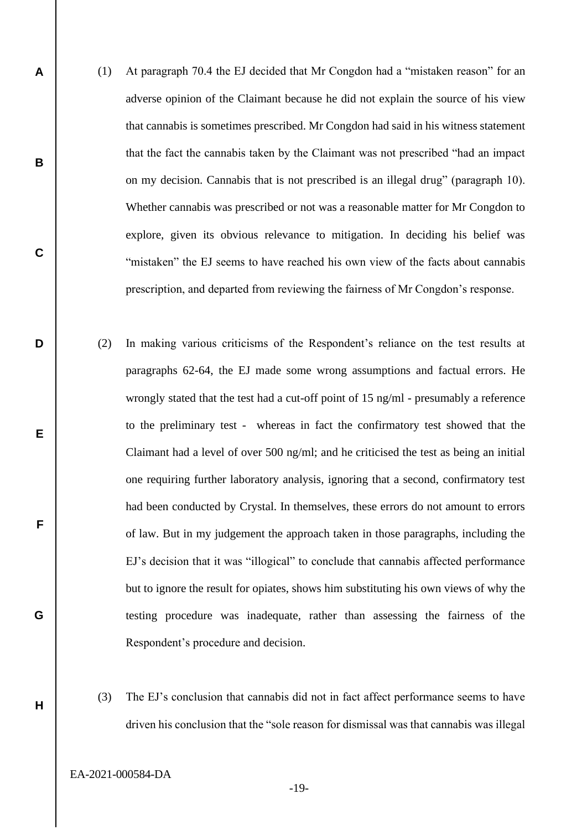- (1) At paragraph 70.4 the EJ decided that Mr Congdon had a "mistaken reason" for an adverse opinion of the Claimant because he did not explain the source of his view that cannabis is sometimes prescribed. Mr Congdon had said in his witness statement that the fact the cannabis taken by the Claimant was not prescribed "had an impact on my decision. Cannabis that is not prescribed is an illegal drug" (paragraph 10). Whether cannabis was prescribed or not was a reasonable matter for Mr Congdon to explore, given its obvious relevance to mitigation. In deciding his belief was "mistaken" the EJ seems to have reached his own view of the facts about cannabis prescription, and departed from reviewing the fairness of Mr Congdon's response.
	- (2) In making various criticisms of the Respondent's reliance on the test results at paragraphs 62-64, the EJ made some wrong assumptions and factual errors. He wrongly stated that the test had a cut-off point of 15 ng/ml - presumably a reference to the preliminary test - whereas in fact the confirmatory test showed that the Claimant had a level of over 500 ng/ml; and he criticised the test as being an initial one requiring further laboratory analysis, ignoring that a second, confirmatory test had been conducted by Crystal. In themselves, these errors do not amount to errors of law. But in my judgement the approach taken in those paragraphs, including the EJ's decision that it was "illogical" to conclude that cannabis affected performance but to ignore the result for opiates, shows him substituting his own views of why the testing procedure was inadequate, rather than assessing the fairness of the Respondent's procedure and decision.
- (3) The EJ's conclusion that cannabis did not in fact affect performance seems to have driven his conclusion that the "sole reason for dismissal was that cannabis was illegal

EA-2021-000584-DA

**A**

**B**

**C**

**D**

**E**

**F**

**G**

**H**

-19-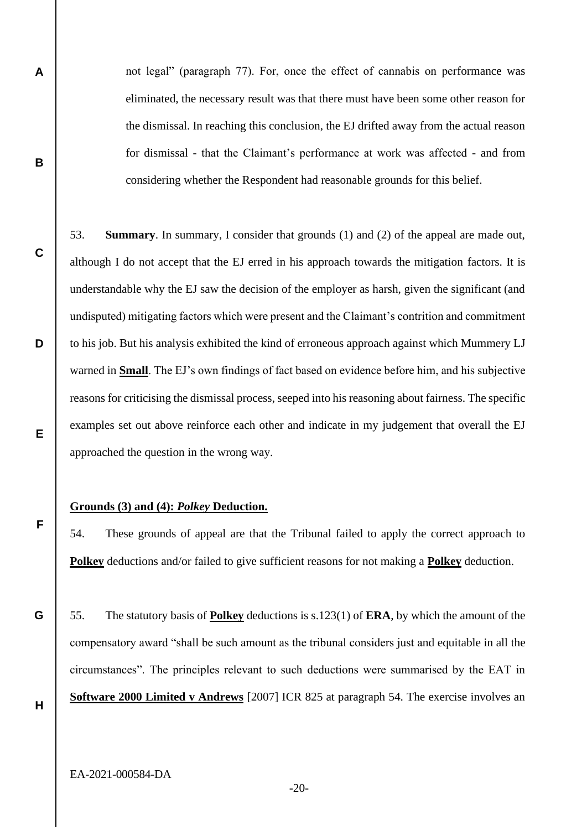not legal" (paragraph 77). For, once the effect of cannabis on performance was eliminated, the necessary result was that there must have been some other reason for the dismissal. In reaching this conclusion, the EJ drifted away from the actual reason for dismissal - that the Claimant's performance at work was affected - and from considering whether the Respondent had reasonable grounds for this belief.

53. **Summary**. In summary, I consider that grounds (1) and (2) of the appeal are made out, although I do not accept that the EJ erred in his approach towards the mitigation factors. It is understandable why the EJ saw the decision of the employer as harsh, given the significant (and undisputed) mitigating factors which were present and the Claimant's contrition and commitment to his job. But his analysis exhibited the kind of erroneous approach against which Mummery LJ warned in **Small**. The EJ's own findings of fact based on evidence before him, and his subjective reasons for criticising the dismissal process, seeped into his reasoning about fairness. The specific examples set out above reinforce each other and indicate in my judgement that overall the EJ approached the question in the wrong way.

#### **Grounds (3) and (4):** *Polkey* **Deduction.**

54. These grounds of appeal are that the Tribunal failed to apply the correct approach to **Polkey** deductions and/or failed to give sufficient reasons for not making a **Polkey** deduction.

55. The statutory basis of **Polkey** deductions is s.123(1) of **ERA**, by which the amount of the compensatory award "shall be such amount as the tribunal considers just and equitable in all the circumstances". The principles relevant to such deductions were summarised by the EAT in **Software 2000 Limited v Andrews** [2007] ICR 825 at paragraph 54. The exercise involves an

**H**

**A**

**B**

**C**

**D**

**E**

**F**

**G**

EA-2021-000584-DA

-20-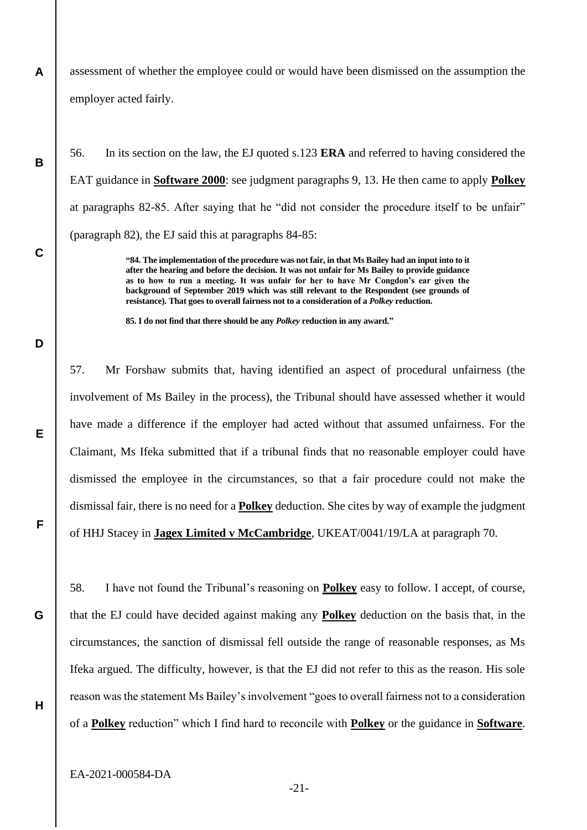assessment of whether the employee could or would have been dismissed on the assumption the employer acted fairly.

56. In its section on the law, the EJ quoted s.123 **ERA** and referred to having considered the EAT guidance in **Software 2000**: see judgment paragraphs 9, 13. He then came to apply **Polkey** at paragraphs 82-85. After saying that he "did not consider the procedure itself to be unfair" (paragraph 82), the EJ said this at paragraphs 84-85:

> **"84. The implementation of the procedure was not fair, in that Ms Bailey had an input into to it after the hearing and before the decision. It was not unfair for Ms Bailey to provide guidance as to how to run a meeting. It was unfair for her to have Mr Congdon's ear given the background of September 2019 which was still relevant to the Respondent (see grounds of resistance). That goes to overall fairness not to a consideration of a** *Polkey* **reduction.**

**85. I do not find that there should be any** *Polkey* **reduction in any award."**

**D**

**E**

**F**

**G**

**H**

**A**

**B**

**C**

57. Mr Forshaw submits that, having identified an aspect of procedural unfairness (the involvement of Ms Bailey in the process), the Tribunal should have assessed whether it would have made a difference if the employer had acted without that assumed unfairness. For the Claimant, Ms Ifeka submitted that if a tribunal finds that no reasonable employer could have dismissed the employee in the circumstances, so that a fair procedure could not make the dismissal fair, there is no need for a **Polkey** deduction. She cites by way of example the judgment of HHJ Stacey in **Jagex Limited v McCambridge**, UKEAT/0041/19/LA at paragraph 70.

58. I have not found the Tribunal's reasoning on **Polkey** easy to follow. I accept, of course, that the EJ could have decided against making any **Polkey** deduction on the basis that, in the circumstances, the sanction of dismissal fell outside the range of reasonable responses, as Ms Ifeka argued. The difficulty, however, is that the EJ did not refer to this as the reason. His sole reason was the statement Ms Bailey's involvement "goes to overall fairness not to a consideration of a **Polkey** reduction" which I find hard to reconcile with **Polkey** or the guidance in **Software**.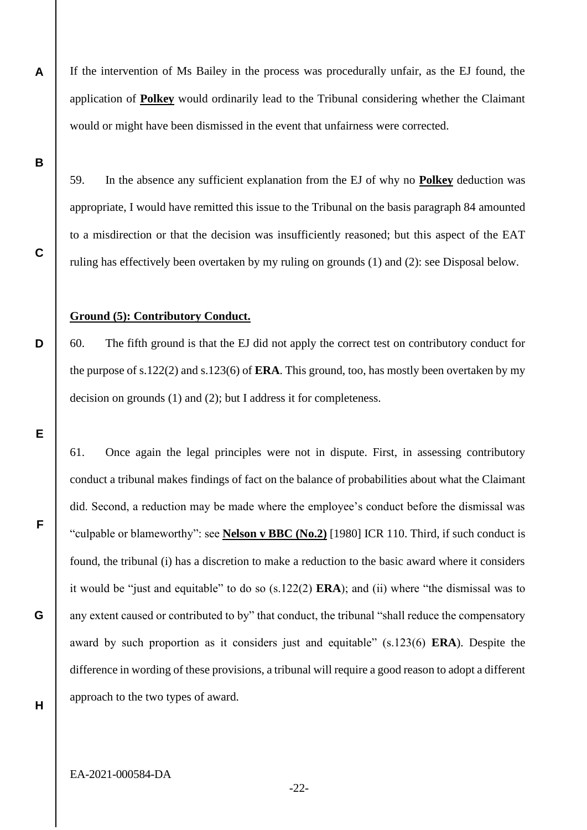If the intervention of Ms Bailey in the process was procedurally unfair, as the EJ found, the application of **Polkey** would ordinarily lead to the Tribunal considering whether the Claimant would or might have been dismissed in the event that unfairness were corrected.

**B**

**C**

**D**

**E**

**F**

**G**

**A**

59. In the absence any sufficient explanation from the EJ of why no **Polkey** deduction was appropriate, I would have remitted this issue to the Tribunal on the basis paragraph 84 amounted to a misdirection or that the decision was insufficiently reasoned; but this aspect of the EAT ruling has effectively been overtaken by my ruling on grounds (1) and (2): see Disposal below.

#### **Ground (5): Contributory Conduct.**

60. The fifth ground is that the EJ did not apply the correct test on contributory conduct for the purpose of s.122(2) and s.123(6) of **ERA**. This ground, too, has mostly been overtaken by my decision on grounds (1) and (2); but I address it for completeness.

61. Once again the legal principles were not in dispute. First, in assessing contributory conduct a tribunal makes findings of fact on the balance of probabilities about what the Claimant did. Second, a reduction may be made where the employee's conduct before the dismissal was "culpable or blameworthy": see **Nelson v BBC (No.2)** [1980] ICR 110. Third, if such conduct is found, the tribunal (i) has a discretion to make a reduction to the basic award where it considers it would be "just and equitable" to do so (s.122(2) **ERA**); and (ii) where "the dismissal was to any extent caused or contributed to by" that conduct, the tribunal "shall reduce the compensatory award by such proportion as it considers just and equitable" (s.123(6) **ERA**). Despite the difference in wording of these provisions, a tribunal will require a good reason to adopt a different approach to the two types of award.

**H**

-22-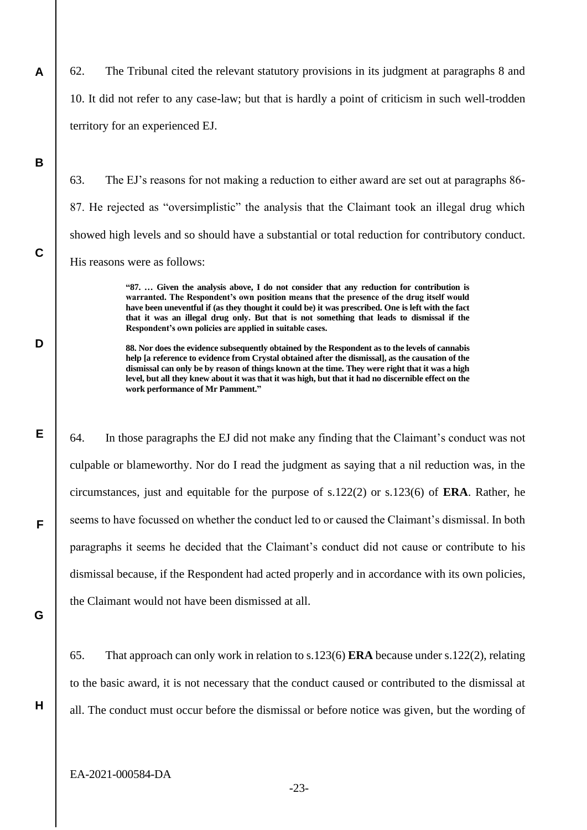62. The Tribunal cited the relevant statutory provisions in its judgment at paragraphs 8 and 10. It did not refer to any case-law; but that is hardly a point of criticism in such well-trodden territory for an experienced EJ.

**B**

**C**

**D**

**E**

**F**

**A**

63. The EJ's reasons for not making a reduction to either award are set out at paragraphs 86- 87. He rejected as "oversimplistic" the analysis that the Claimant took an illegal drug which showed high levels and so should have a substantial or total reduction for contributory conduct. His reasons were as follows:

> **"87. … Given the analysis above, I do not consider that any reduction for contribution is warranted. The Respondent's own position means that the presence of the drug itself would have been uneventful if (as they thought it could be) it was prescribed. One is left with the fact that it was an illegal drug only. But that is not something that leads to dismissal if the Respondent's own policies are applied in suitable cases.**

> **88. Nor does the evidence subsequently obtained by the Respondent as to the levels of cannabis help [a reference to evidence from Crystal obtained after the dismissal], as the causation of the dismissal can only be by reason of things known at the time. They were right that it was a high level, but all they knew about it was that it was high, but that it had no discernible effect on the work performance of Mr Pamment."**

64. In those paragraphs the EJ did not make any finding that the Claimant's conduct was not culpable or blameworthy. Nor do I read the judgment as saying that a nil reduction was, in the circumstances, just and equitable for the purpose of s.122(2) or s.123(6) of **ERA**. Rather, he seems to have focussed on whether the conduct led to or caused the Claimant's dismissal. In both paragraphs it seems he decided that the Claimant's conduct did not cause or contribute to his dismissal because, if the Respondent had acted properly and in accordance with its own policies, the Claimant would not have been dismissed at all.

**G**

**H**

65. That approach can only work in relation to s.123(6) **ERA** because under s.122(2), relating to the basic award, it is not necessary that the conduct caused or contributed to the dismissal at all. The conduct must occur before the dismissal or before notice was given, but the wording of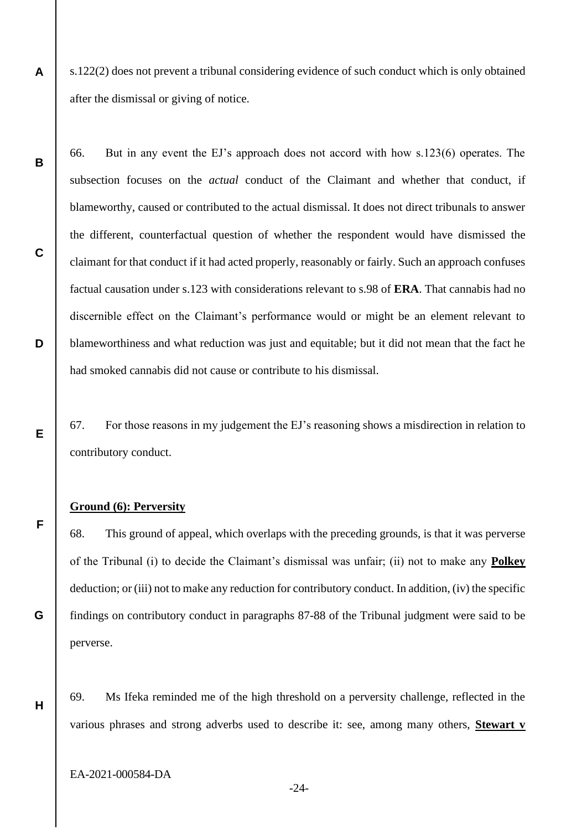s.122(2) does not prevent a tribunal considering evidence of such conduct which is only obtained after the dismissal or giving of notice.

66. But in any event the EJ's approach does not accord with how s.123(6) operates. The subsection focuses on the *actual* conduct of the Claimant and whether that conduct, if blameworthy, caused or contributed to the actual dismissal. It does not direct tribunals to answer the different, counterfactual question of whether the respondent would have dismissed the claimant for that conduct if it had acted properly, reasonably or fairly. Such an approach confuses factual causation under s.123 with considerations relevant to s.98 of **ERA**. That cannabis had no discernible effect on the Claimant's performance would or might be an element relevant to blameworthiness and what reduction was just and equitable; but it did not mean that the fact he had smoked cannabis did not cause or contribute to his dismissal.

67. For those reasons in my judgement the EJ's reasoning shows a misdirection in relation to contributory conduct.

#### **Ground (6): Perversity**

**A**

**B**

**C**

**D**

**E**

**F**

**G**

**H**

68. This ground of appeal, which overlaps with the preceding grounds, is that it was perverse of the Tribunal (i) to decide the Claimant's dismissal was unfair; (ii) not to make any **Polkey** deduction; or (iii) not to make any reduction for contributory conduct. In addition, (iv) the specific findings on contributory conduct in paragraphs 87-88 of the Tribunal judgment were said to be perverse.

69. Ms Ifeka reminded me of the high threshold on a perversity challenge, reflected in the various phrases and strong adverbs used to describe it: see, among many others, **Stewart v** 

EA-2021-000584-DA

-24-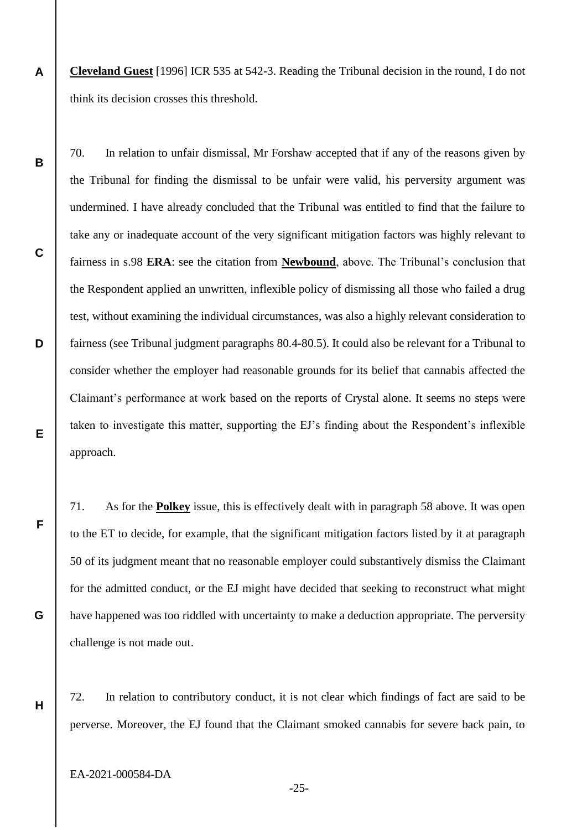**A Cleveland Guest** [1996] ICR 535 at 542-3. Reading the Tribunal decision in the round, I do not think its decision crosses this threshold.

70. In relation to unfair dismissal, Mr Forshaw accepted that if any of the reasons given by the Tribunal for finding the dismissal to be unfair were valid, his perversity argument was undermined. I have already concluded that the Tribunal was entitled to find that the failure to take any or inadequate account of the very significant mitigation factors was highly relevant to fairness in s.98 **ERA**: see the citation from **Newbound**, above. The Tribunal's conclusion that the Respondent applied an unwritten, inflexible policy of dismissing all those who failed a drug test, without examining the individual circumstances, was also a highly relevant consideration to fairness (see Tribunal judgment paragraphs 80.4-80.5). It could also be relevant for a Tribunal to consider whether the employer had reasonable grounds for its belief that cannabis affected the Claimant's performance at work based on the reports of Crystal alone. It seems no steps were taken to investigate this matter, supporting the EJ's finding about the Respondent's inflexible approach.

71. As for the **Polkey** issue, this is effectively dealt with in paragraph 58 above. It was open to the ET to decide, for example, that the significant mitigation factors listed by it at paragraph 50 of its judgment meant that no reasonable employer could substantively dismiss the Claimant for the admitted conduct, or the EJ might have decided that seeking to reconstruct what might have happened was too riddled with uncertainty to make a deduction appropriate. The perversity challenge is not made out.

72. In relation to contributory conduct, it is not clear which findings of fact are said to be perverse. Moreover, the EJ found that the Claimant smoked cannabis for severe back pain, to

EA-2021-000584-DA

**B**

**C**

**D**

**E**

**F**

**G**

**H**

-25-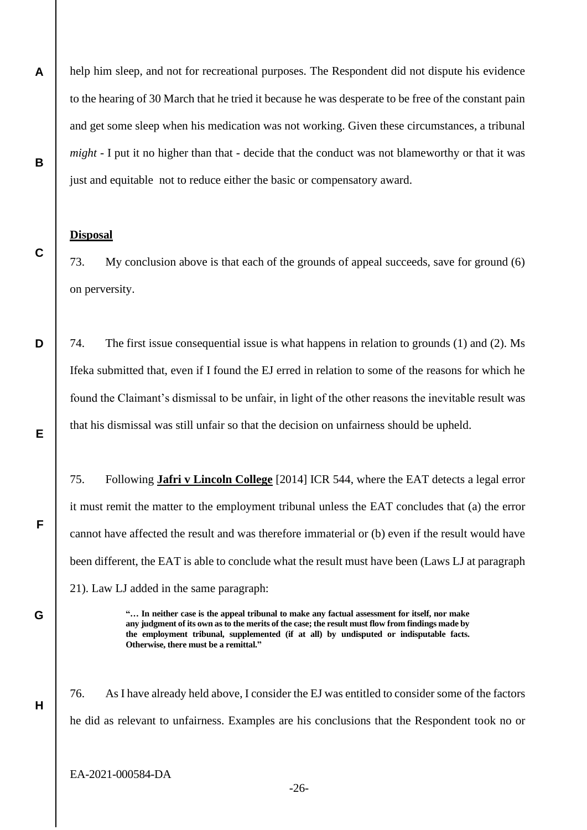help him sleep, and not for recreational purposes. The Respondent did not dispute his evidence to the hearing of 30 March that he tried it because he was desperate to be free of the constant pain and get some sleep when his medication was not working. Given these circumstances, a tribunal *might* - I put it no higher than that - decide that the conduct was not blameworthy or that it was just and equitable not to reduce either the basic or compensatory award.

#### **Disposal**

**A**

**B**

**C**

**D**

**E**

**F**

**G**

**H**

73. My conclusion above is that each of the grounds of appeal succeeds, save for ground (6) on perversity.

74. The first issue consequential issue is what happens in relation to grounds (1) and (2). Ms Ifeka submitted that, even if I found the EJ erred in relation to some of the reasons for which he found the Claimant's dismissal to be unfair, in light of the other reasons the inevitable result was that his dismissal was still unfair so that the decision on unfairness should be upheld.

75. Following **Jafri v Lincoln College** [2014] ICR 544, where the EAT detects a legal error it must remit the matter to the employment tribunal unless the EAT concludes that (a) the error cannot have affected the result and was therefore immaterial or (b) even if the result would have been different, the EAT is able to conclude what the result must have been (Laws LJ at paragraph 21). Law LJ added in the same paragraph:

> **"… In neither case is the appeal tribunal to make any factual assessment for itself, nor make any judgment of its own as to the merits of the case; the result must flow from findings made by the employment tribunal, supplemented (if at all) by undisputed or indisputable facts. Otherwise, there must be a remittal."**

76. As I have already held above, I consider the EJ was entitled to consider some of the factors he did as relevant to unfairness. Examples are his conclusions that the Respondent took no or

EA-2021-000584-DA

-26-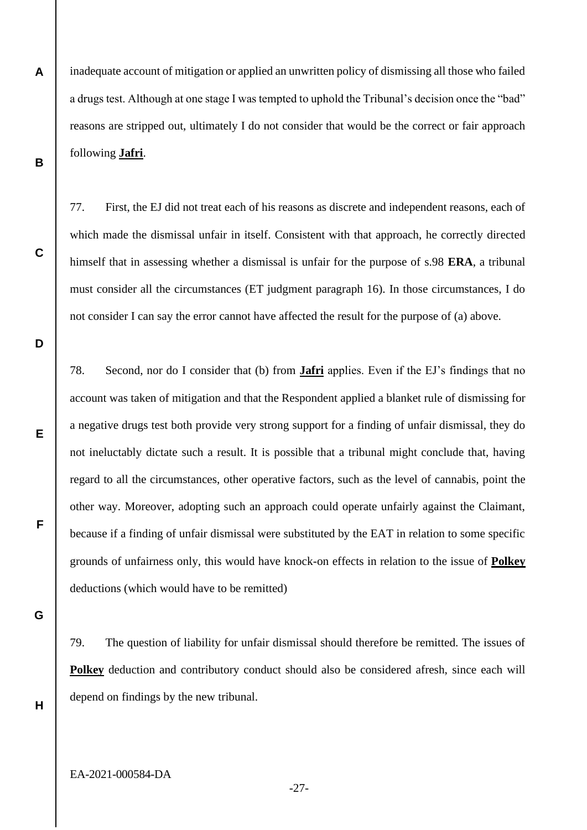inadequate account of mitigation or applied an unwritten policy of dismissing all those who failed a drugs test. Although at one stage I was tempted to uphold the Tribunal's decision once the "bad" reasons are stripped out, ultimately I do not consider that would be the correct or fair approach following **Jafri**.

77. First, the EJ did not treat each of his reasons as discrete and independent reasons, each of which made the dismissal unfair in itself. Consistent with that approach, he correctly directed himself that in assessing whether a dismissal is unfair for the purpose of s.98 **ERA**, a tribunal must consider all the circumstances (ET judgment paragraph 16). In those circumstances, I do not consider I can say the error cannot have affected the result for the purpose of (a) above.

**D**

**E**

**F**

**A**

**B**

**C**

78. Second, nor do I consider that (b) from **Jafri** applies. Even if the EJ's findings that no account was taken of mitigation and that the Respondent applied a blanket rule of dismissing for a negative drugs test both provide very strong support for a finding of unfair dismissal, they do not ineluctably dictate such a result. It is possible that a tribunal might conclude that, having regard to all the circumstances, other operative factors, such as the level of cannabis, point the other way. Moreover, adopting such an approach could operate unfairly against the Claimant, because if a finding of unfair dismissal were substituted by the EAT in relation to some specific grounds of unfairness only, this would have knock-on effects in relation to the issue of **Polkey** deductions (which would have to be remitted)

**G**

79. The question of liability for unfair dismissal should therefore be remitted. The issues of **Polkey** deduction and contributory conduct should also be considered afresh, since each will depend on findings by the new tribunal.

**H**